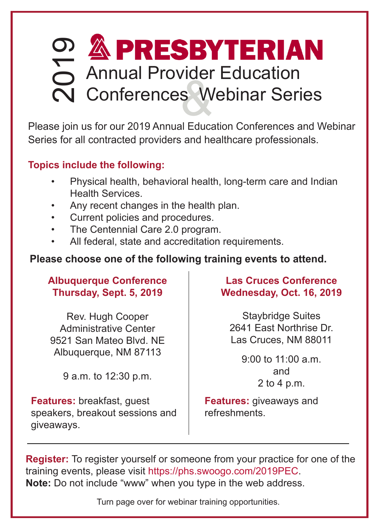# Conferences Webinar Series Annual Provider Education 2019

Please join us for our 2019 Annual Education Conferences and Webinar Series for all contracted providers and healthcare professionals.

### **Topics include the following:**

- Physical health, behavioral health, long-term care and Indian Health Services.
- Any recent changes in the health plan.
- Current policies and procedures.
- The Centennial Care 2.0 program.
- All federal, state and accreditation requirements.

### **Please choose one of the following training events to attend.**

#### **Albuquerque Conference Thursday, Sept. 5, 2019**

Rev. Hugh Cooper Administrative Center 9521 San Mateo Blvd. NE Albuquerque, NM 87113

9 a.m. to 12:30 p.m.

**Features:** breakfast, guest speakers, breakout sessions and giveaways.

**Las Cruces Conference Wednesday, Oct. 16, 2019**

Staybridge Suites 2641 East Northrise Dr. Las Cruces, NM 88011

> 9:00 to 11:00 a.m. and 2 to 4 p.m.

**Features:** giveaways and refreshments.

**Register:** To register yourself or someone from your practice for one of the training events, please visit https://phs.swoogo.com/2019PEC. **Note:** Do not include "www" when you type in the web address.

Turn page over for webinar training opportunities.